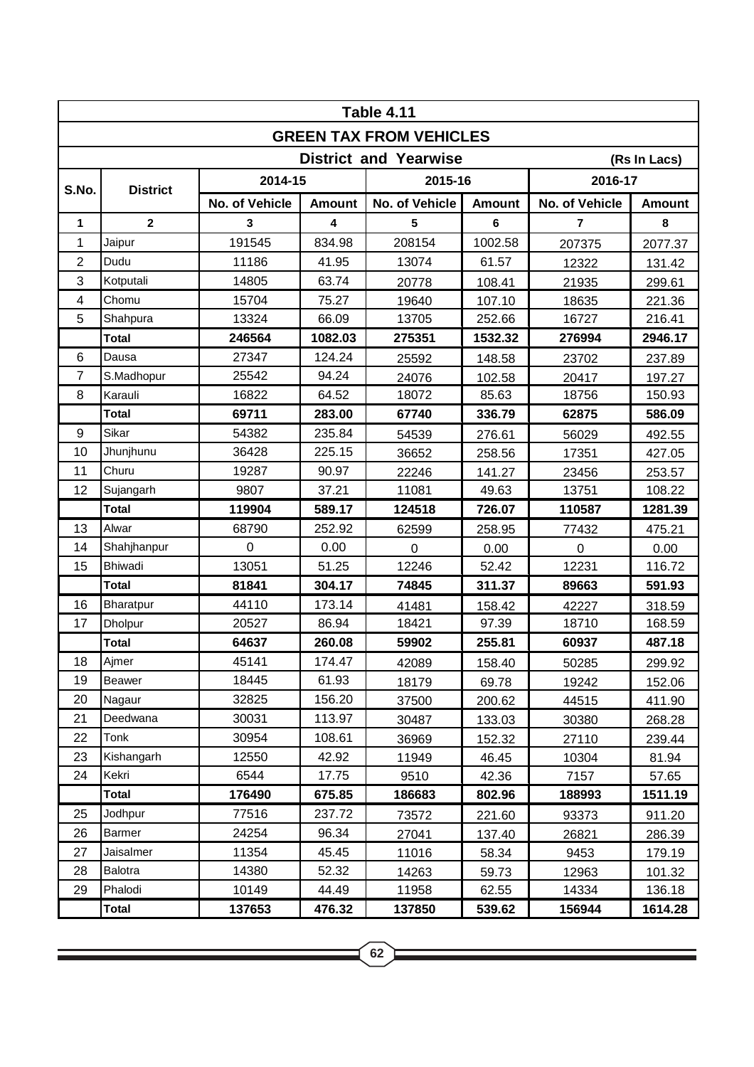| <b>Table 4.11</b>                            |                 |                |               |                |               |                |               |  |  |  |  |  |
|----------------------------------------------|-----------------|----------------|---------------|----------------|---------------|----------------|---------------|--|--|--|--|--|
| <b>GREEN TAX FROM VEHICLES</b>               |                 |                |               |                |               |                |               |  |  |  |  |  |
| <b>District and Yearwise</b><br>(Rs In Lacs) |                 |                |               |                |               |                |               |  |  |  |  |  |
| S.No.                                        | <b>District</b> | 2014-15        |               | 2015-16        |               | 2016-17        |               |  |  |  |  |  |
|                                              |                 | No. of Vehicle | <b>Amount</b> | No. of Vehicle | <b>Amount</b> | No. of Vehicle | <b>Amount</b> |  |  |  |  |  |
| 1                                            | $\mathbf{2}$    | 3              | 4             | 5              | 6             | $\overline{7}$ | 8             |  |  |  |  |  |
| 1                                            | Jaipur          | 191545         | 834.98        | 208154         | 1002.58       | 207375         | 2077.37       |  |  |  |  |  |
| $\overline{2}$                               | Dudu            | 11186          | 41.95         | 13074          | 61.57         | 12322          | 131.42        |  |  |  |  |  |
| 3                                            | Kotputali       | 14805          | 63.74         | 20778          | 108.41        | 21935          | 299.61        |  |  |  |  |  |
| $\overline{4}$                               | Chomu           | 15704          | 75.27         | 19640          | 107.10        | 18635          | 221.36        |  |  |  |  |  |
| 5                                            | Shahpura        | 13324          | 66.09         | 13705          | 252.66        | 16727          | 216.41        |  |  |  |  |  |
|                                              | <b>Total</b>    | 246564         | 1082.03       | 275351         | 1532.32       | 276994         | 2946.17       |  |  |  |  |  |
| 6                                            | Dausa           | 27347          | 124.24        | 25592          | 148.58        | 23702          | 237.89        |  |  |  |  |  |
| $\overline{7}$                               | S.Madhopur      | 25542          | 94.24         | 24076          | 102.58        | 20417          | 197.27        |  |  |  |  |  |
| 8                                            | Karauli         | 16822          | 64.52         | 18072          | 85.63         | 18756          | 150.93        |  |  |  |  |  |
|                                              | <b>Total</b>    | 69711          | 283.00        | 67740          | 336.79        | 62875          | 586.09        |  |  |  |  |  |
| 9                                            | Sikar           | 54382          | 235.84        | 54539          | 276.61        | 56029          | 492.55        |  |  |  |  |  |
| 10                                           | Jhunjhunu       | 36428          | 225.15        | 36652          | 258.56        | 17351          | 427.05        |  |  |  |  |  |
| 11                                           | Churu           | 19287          | 90.97         | 22246          | 141.27        | 23456          | 253.57        |  |  |  |  |  |
| 12                                           | Sujangarh       | 9807           | 37.21         | 11081          | 49.63         | 13751          | 108.22        |  |  |  |  |  |
|                                              | <b>Total</b>    | 119904         | 589.17        | 124518         | 726.07        | 110587         | 1281.39       |  |  |  |  |  |
| 13                                           | Alwar           | 68790          | 252.92        | 62599          | 258.95        | 77432          | 475.21        |  |  |  |  |  |
| 14                                           | Shahjhanpur     | $\mathbf 0$    | 0.00          | $\overline{0}$ | 0.00          | $\overline{0}$ | 0.00          |  |  |  |  |  |
| 15                                           | <b>Bhiwadi</b>  | 13051          | 51.25         | 12246          | 52.42         | 12231          | 116.72        |  |  |  |  |  |
|                                              | <b>Total</b>    | 81841          | 304.17        | 74845          | 311.37        | 89663          | 591.93        |  |  |  |  |  |
| 16                                           | Bharatpur       | 44110          | 173.14        | 41481          | 158.42        | 42227          | 318.59        |  |  |  |  |  |
| 17                                           | Dholpur         | 20527          | 86.94         | 18421          | 97.39         | 18710          | 168.59        |  |  |  |  |  |
|                                              | <b>Total</b>    | 64637          | 260.08        | 59902          | 255.81        | 60937          | 487.18        |  |  |  |  |  |
| 18                                           | Ajmer           | 45141          | 174.47        | 42089          | 158.40        | 50285          | 299.92        |  |  |  |  |  |
| 19                                           | Beawer          | 18445          | 61.93         | 18179          | 69.78         | 19242          | 152.06        |  |  |  |  |  |
| 20                                           | Nagaur          | 32825          | 156.20        | 37500          | 200.62        | 44515          | 411.90        |  |  |  |  |  |
| 21                                           | Deedwana        | 30031          | 113.97        | 30487          | 133.03        | 30380          | 268.28        |  |  |  |  |  |
| 22                                           | Tonk            | 30954          | 108.61        | 36969          | 152.32        | 27110          | 239.44        |  |  |  |  |  |
| 23                                           | Kishangarh      | 12550          | 42.92         | 11949          | 46.45         | 10304          | 81.94         |  |  |  |  |  |
| 24                                           | Kekri           | 6544           | 17.75         | 9510           | 42.36         | 7157           | 57.65         |  |  |  |  |  |
|                                              | <b>Total</b>    | 176490         | 675.85        | 186683         | 802.96        | 188993         | 1511.19       |  |  |  |  |  |
| 25                                           | Jodhpur         | 77516          | 237.72        | 73572          | 221.60        | 93373          | 911.20        |  |  |  |  |  |
| 26                                           | Barmer          | 24254          | 96.34         | 27041          | 137.40        | 26821          | 286.39        |  |  |  |  |  |
| 27                                           | Jaisalmer       | 11354          | 45.45         | 11016          | 58.34         | 9453           | 179.19        |  |  |  |  |  |
| 28                                           | Balotra         | 14380          | 52.32         | 14263          | 59.73         | 12963          | 101.32        |  |  |  |  |  |
| 29                                           | Phalodi         | 10149          | 44.49         | 11958          | 62.55         | 14334          | 136.18        |  |  |  |  |  |
|                                              | <b>Total</b>    | 137653         | 476.32        | 137850         | 539.62        | 156944         | 1614.28       |  |  |  |  |  |

<u> 1989 - Johann Stein, marwolaethau a bhann an t-Amhair an t-Amhair an t-Amhair an t-Amhair an t-Amhair an t-A</u>

<u> 1989 - Johann Stein, marwolaethau a bhann an t-Amhair an t-Amhair an t-Amhair an t-Amhair an t-Amhair an t-A</u>